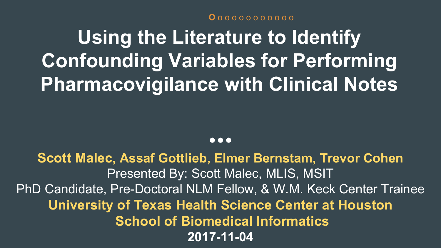**O** o o o o o o o o o o o

**Using the Literature to Identify Confounding Variables for Performing Pharmacovigilance with Clinical Notes**

#### $\bullet\bullet\bullet$

**Scott Malec, Assaf Gottlieb, Elmer Bernstam, Trevor Cohen** Presented By: Scott Malec, MLIS, MSIT PhD Candidate, Pre-Doctoral NLM Fellow, & W.M. Keck Center Trainee **University of Texas Health Science Center at Houston School of Biomedical Informatics 2017-11-04**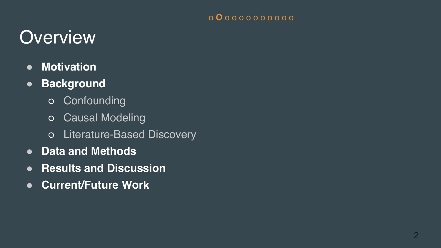#### o **O** o o o o o o o o o o

### **Overview**

! **Motivation**

### ! **Background**

- Confounding
- Causal Modeling
- Literature-Based Discovery
- ! **Data and Methods**
- ! **Results and Discussion**
- ! **Current/Future Work**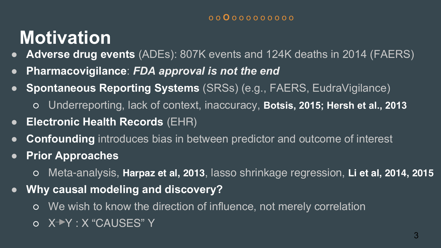#### o o **O** o o o o o o o o o

### **Motivation**

- ! **Adverse drug events** (ADEs): 807K events and 124K deaths in 2014 (FAERS)
- ! **Pharmacovigilance**: *FDA approval is not the end*
- ! **Spontaneous Reporting Systems** (SRSs) (e.g., FAERS, EudraVigilance)
	- Underreporting, lack of context, inaccuracy, **Botsis, 2015; Hersh et al., 2013**
- ! **Electronic Health Records** (EHR)
- **Confounding** introduces bias in between predictor and outcome of interest
- ! **Prior Approaches**
	- Meta-analysis, **Harpaz et al, 2013**, lasso shrinkage regression, **Li et al, 2014, 2015**
- ! **Why causal modeling and discovery?**
	- We wish to know the direction of influence, not merely correlation
	- $\circ$  X<sup> $\rightarrow$ </sup>Y : X "CAUSES" Y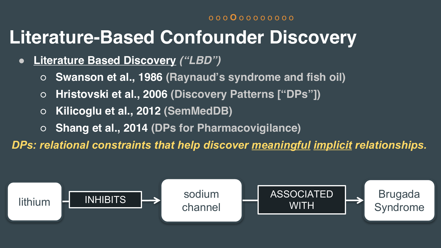#### o o o **O** o o o o o o o o

## **Literature-Based Confounder Discovery**

- ! **Literature Based Discovery** *("LBD")*
	- **Swanson et al., 1986 (Raynaud's syndrome and fish oil)**
	- **Hristovski et al., 2006 (Discovery Patterns ["DPs"])**
	- **Kilicoglu et al., 2012 (SemMedDB)**
	- **Shang et al., 2014 (DPs for Pharmacovigilance)**

*DPs: relational constraints that help discover meaningful implicit relationships.*

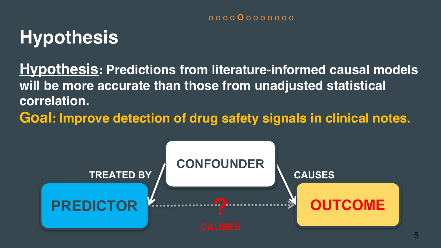#### o o o o **O** o o o o o o o

# **Hypothesis**

**Hypothesis: Predictions from literature-informed causal models will be more accurate than those from unadjusted statistical correlation.**

**Goal: Improve detection of drug safety signals in clinical notes.** 

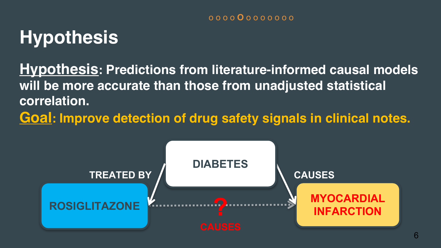#### o o o o **O** o o o o o o o

# **Hypothesis**

**Hypothesis: Predictions from literature-informed causal models will be more accurate than those from unadjusted statistical correlation.**

**Goal: Improve detection of drug safety signals in clinical notes.** 

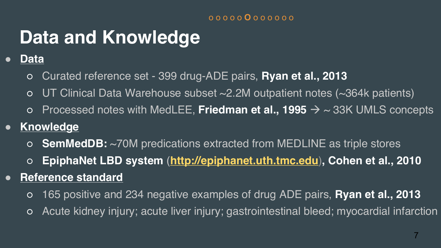#### o o o o o **O** o o o o o o

# **Data and Knowledge**

### ! **Data**

- Curated reference set 399 drug-ADE pairs, **Ryan et al., 2013**
- $\circ$  UT Clinical Data Warehouse subset  $\sim$ 2.2M outpatient notes ( $\sim$ 364k patients)
- Processed notes with MedLEE, **Friedman et al., 1995** à ~ 33K UMLS concepts

### ! **Knowledge**

- **SemMedDB:** ~70M predications extracted from MEDLINE as triple stores
- **EpiphaNet LBD system** (**http://epiphanet.uth.tmc.edu**)**, Cohen et al., 2010**
- ! **Reference standard**
	- 165 positive and 234 negative examples of drug ADE pairs, **Ryan et al., 2013**
	- Acute kidney injury; acute liver injury; gastrointestinal bleed; myocardial infarction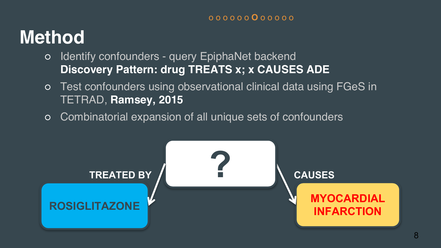#### o o o o o o **O** o o o o o

## **Method**

- Identify confounders query EpiphaNet backend **Discovery Pattern: drug TREATS x; x CAUSES ADE**
- o Test confounders using observational clinical data using FGeS in TETRAD, **Ramsey, 2015**
- Combinatorial expansion of all unique sets of confounders

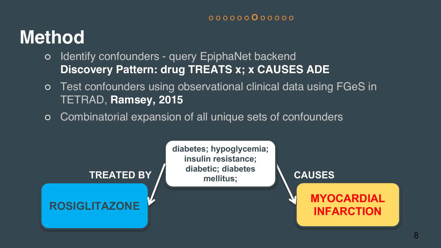#### o o o o o o **O** o o o o o

### **Method**

- Identify confounders query EpiphaNet backend **Discovery Pattern: drug TREATS x; x CAUSES ADE**
- Test confounders using observational clinical data using FGeS in TETRAD, **Ramsey, 2015**
- Combinatorial expansion of all unique sets of confounders

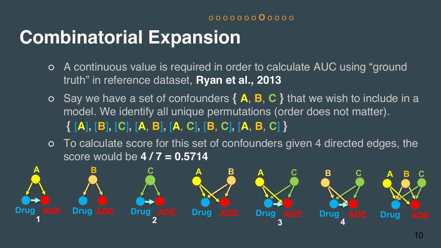#### o o o o o o o **O** o o o o

# **Combinatorial Expansion**

- A continuous value is required in order to calculate AUC using "ground truth" in reference dataset, **Ryan et al., 2013**
- Say we have a set of confounders **{ A**, **B**, **C }** that we wish to include in a model. We identify all unique permutations (order does not matter). **{** [**A**]**,** [**B**]**,** [**C**]**,** [**A**, **B**]**,** [**A**, **C**]**,** [**B**, **C**]**,** [**A**, **B**, **C**] **}**
- To calculate score for this set of confounders given 4 directed edges, the score would be **4 / 7 = 0.5714**

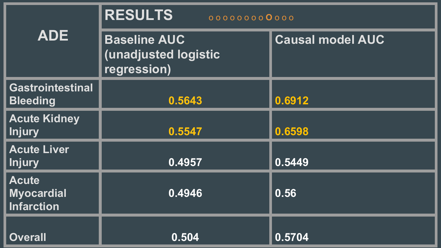| <b>ADE</b>                                             | <b>RESULTS</b><br>0000000000000                            |                         |
|--------------------------------------------------------|------------------------------------------------------------|-------------------------|
|                                                        | <b>Baseline AUC</b><br>(unadjusted logistic<br>regression) | <b>Causal model AUC</b> |
| <b>Gastrointestinal</b><br><b>Bleeding</b>             | 0.5643                                                     | 0.6912                  |
| <b>Acute Kidney</b><br><b>Injury</b>                   | 0.5547                                                     | 0.6598                  |
| <b>Acute Liver</b><br><b>Injury</b>                    | 0.4957                                                     | 0.5449                  |
| <b>Acute</b><br><b>Myocardial</b><br><b>Infarction</b> | 0.4946                                                     | 0.56                    |
| <b>Overall</b>                                         | 0.504                                                      | 0.5704                  |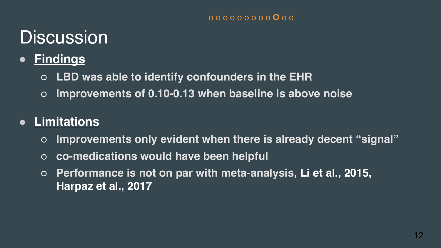#### o o o o o o o o o **O** o o

### **Discussion**

- ! **Findings**
	- **LBD was able to identify confounders in the EHR**
	- **Improvements of 0.10-0.13 when baseline is above noise**

### ! **Limitations**

- **Improvements only evident when there is already decent "signal"**
- **co-medications would have been helpful**
- **Performance is not on par with meta-analysis, Li et al., 2015, Harpaz et al., 2017**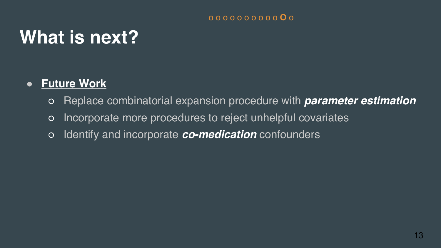#### o o o o o o o o o o **O** o

# **What is next?**

### **• Future Work**

- Replace combinatorial expansion procedure with *parameter estimation*
- o Incorporate more procedures to reject unhelpful covariates
- Identify and incorporate *co-medication* confounders